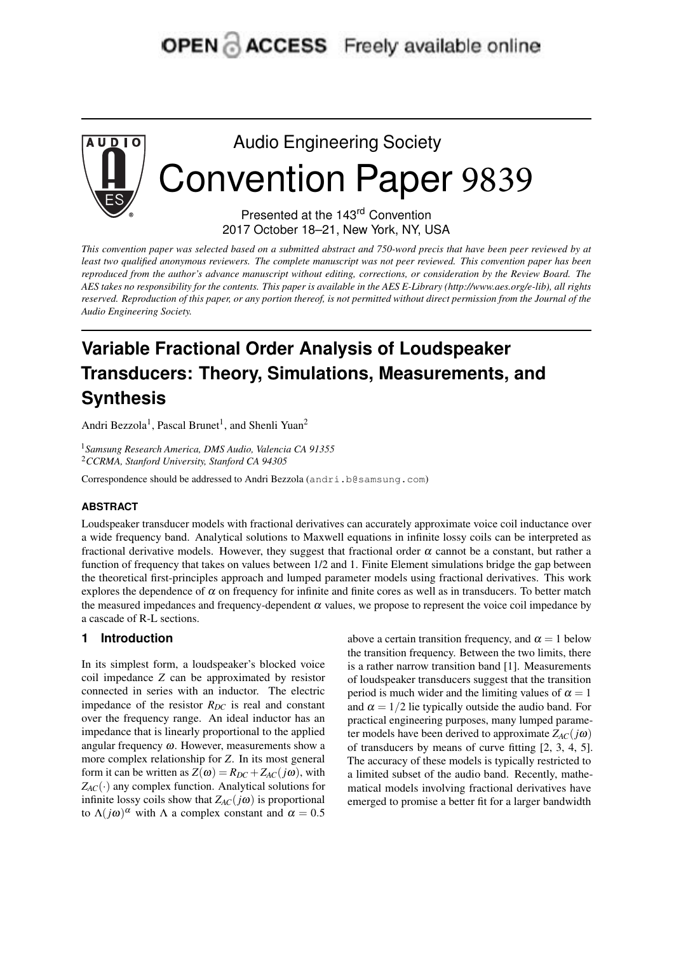## OPEN & ACCESS Freely available online



# Audio Engineering Society Convention Paper 9839

Presented at the 143<sup>rd</sup> Convention 2017 October 18–21, New York, NY, USA

This convention paper was selected based on a submitted abstract and 750-word precis that have been peer reviewed by at least two qualified anonymous reviewers. The complete manuscript was not peer reviewed. This convention paper has been reproduced from the author's advance manuscript without editing, corrections, or consideration by the Review Board. The AES takes no responsibility for the contents. This paper is available in the AES E-Library (http://www.aes.org/e-lib), all rights reserved. Reproduction of this paper, or any portion thereof, is not permitted without direct permission from the Journal of the *Audio Engineering Society.*

### **Variable Fractional Order Analysis of Loudspeaker Transducers: Theory, Simulations, Measurements, and Synthesis**

Andri Bezzola<sup>1</sup>, Pascal Brunet<sup>1</sup>, and Shenli Yuan<sup>2</sup>

<sup>1</sup>*Samsung Research America, DMS Audio, Valencia CA 91355* <sup>2</sup>*CCRMA, Stanford University, Stanford CA 94305*

Correspondence should be addressed to Andri Bezzola (andri.b@samsung.com)

#### **ABSTRACT**

Loudspeaker transducer models with fractional derivatives can accurately approximate voice coil inductance over a wide frequency band. Analytical solutions to Maxwell equations in infinite lossy coils can be interpreted as fractional derivative models. However, they suggest that fractional order  $\alpha$  cannot be a constant, but rather a function of frequency that takes on values between 1/2 and 1. Finite Element simulations bridge the gap between the theoretical first-principles approach and lumped parameter models using fractional derivatives. This work explores the dependence of  $\alpha$  on frequency for infinite and finite cores as well as in transducers. To better match the measured impedances and frequency-dependent  $\alpha$  values, we propose to represent the voice coil impedance by a cascade of R-L sections.

#### **1 Introduction**

In its simplest form, a loudspeaker's blocked voice coil impedance *Z* can be approximated by resistor connected in series with an inductor. The electric impedance of the resistor  $R_{DC}$  is real and constant over the frequency range. An ideal inductor has an impedance that is linearly proportional to the applied angular frequency  $\omega$ . However, measurements show a more complex relationship for *Z*. In its most general form it can be written as  $Z(\omega) = R_{DC} + Z_{AC}(j\omega)$ , with  $Z_{AC}(\cdot)$  any complex function. Analytical solutions for infinite lossy coils show that  $Z_{AC}(i\omega)$  is proportional to  $\Lambda(j\omega)^\alpha$  with  $\Lambda$  a complex constant and  $\alpha = 0.5$ 

above a certain transition frequency, and  $\alpha = 1$  below the transition frequency. Between the two limits, there is a rather narrow transition band [1]. Measurements of loudspeaker transducers suggest that the transition period is much wider and the limiting values of  $\alpha = 1$ and  $\alpha = 1/2$  lie typically outside the audio band. For practical engineering purposes, many lumped parameter models have been derived to approximate  $Z_{AC}(j\omega)$ of transducers by means of curve fitting [2, 3, 4, 5]. The accuracy of these models is typically restricted to a limited subset of the audio band. Recently, mathematical models involving fractional derivatives have emerged to promise a better fit for a larger bandwidth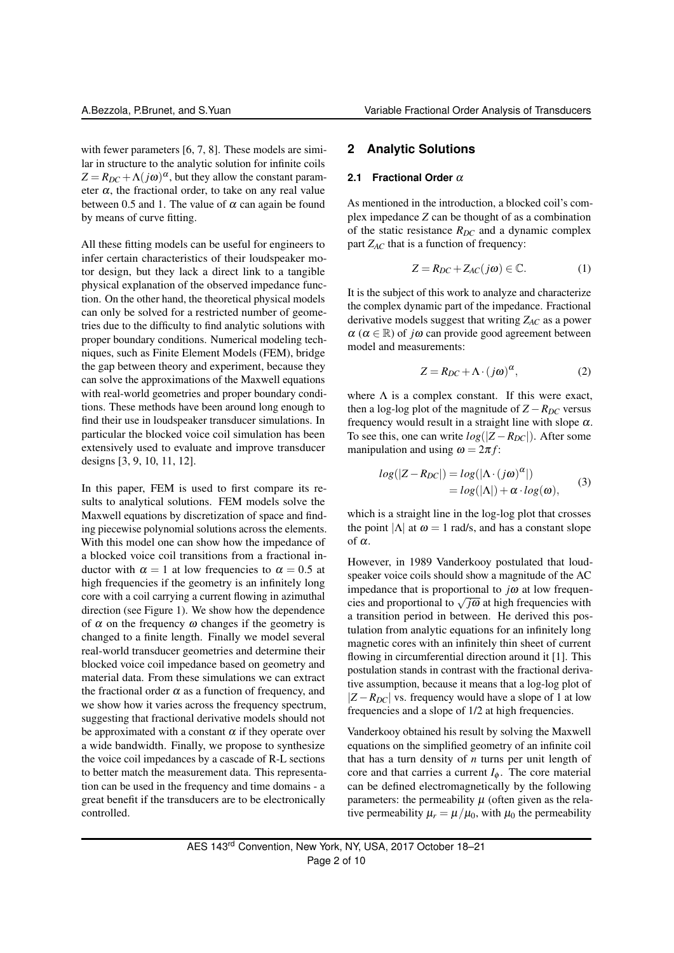with fewer parameters [6, 7, 8]. These models are similar in structure to the analytic solution for infinite coils  $Z = R_{DC} + \Lambda(j\omega)^{\alpha}$ , but they allow the constant parameter  $\alpha$ , the fractional order, to take on any real value between 0.5 and 1. The value of  $\alpha$  can again be found by means of curve fitting.

All these fitting models can be useful for engineers to infer certain characteristics of their loudspeaker motor design, but they lack a direct link to a tangible physical explanation of the observed impedance function. On the other hand, the theoretical physical models can only be solved for a restricted number of geometries due to the difficulty to find analytic solutions with proper boundary conditions. Numerical modeling techniques, such as Finite Element Models (FEM), bridge the gap between theory and experiment, because they can solve the approximations of the Maxwell equations with real-world geometries and proper boundary conditions. These methods have been around long enough to find their use in loudspeaker transducer simulations. In particular the blocked voice coil simulation has been extensively used to evaluate and improve transducer designs [3, 9, 10, 11, 12].

In this paper, FEM is used to first compare its results to analytical solutions. FEM models solve the Maxwell equations by discretization of space and finding piecewise polynomial solutions across the elements. With this model one can show how the impedance of a blocked voice coil transitions from a fractional inductor with  $\alpha = 1$  at low frequencies to  $\alpha = 0.5$  at high frequencies if the geometry is an infinitely long core with a coil carrying a current flowing in azimuthal direction (see Figure 1). We show how the dependence of  $\alpha$  on the frequency  $\omega$  changes if the geometry is changed to a finite length. Finally we model several real-world transducer geometries and determine their blocked voice coil impedance based on geometry and material data. From these simulations we can extract the fractional order  $\alpha$  as a function of frequency, and we show how it varies across the frequency spectrum, suggesting that fractional derivative models should not be approximated with a constant  $\alpha$  if they operate over a wide bandwidth. Finally, we propose to synthesize the voice coil impedances by a cascade of R-L sections to better match the measurement data. This representation can be used in the frequency and time domains - a great benefit if the transducers are to be electronically controlled.

#### **2 Analytic Solutions**

#### **2.1 Fractional Order** α

As mentioned in the introduction, a blocked coil's complex impedance *Z* can be thought of as a combination of the static resistance  $R_{DC}$  and a dynamic complex part  $Z_{AC}$  that is a function of frequency:

$$
Z = R_{DC} + Z_{AC}(j\omega) \in \mathbb{C}.\tag{1}
$$

It is the subject of this work to analyze and characterize the complex dynamic part of the impedance. Fractional derivative models suggest that writing *ZAC* as a power  $\alpha$  ( $\alpha \in \mathbb{R}$ ) of *j* $\omega$  can provide good agreement between model and measurements:

$$
Z = R_{DC} + \Lambda \cdot (j\omega)^{\alpha},\tag{2}
$$

where  $\Lambda$  is a complex constant. If this were exact, then a log-log plot of the magnitude of  $Z - R_{DC}$  versus frequency would result in a straight line with slope  $\alpha$ . To see this, one can write  $log(|Z - R_{DC}|)$ . After some manipulation and using  $\omega = 2\pi f$ :

$$
log(|Z - R_{DC}|) = log(|\Lambda \cdot (j\omega)^{\alpha}|)
$$
  
= log(|\Lambda|) + \alpha \cdot log(\omega), (3)

which is a straight line in the log-log plot that crosses the point  $|\Lambda|$  at  $\omega = 1$  rad/s, and has a constant slope of  $\alpha$ .

However, in 1989 Vanderkooy postulated that loudspeaker voice coils should show a magnitude of the AC impedance that is proportional to  $j\omega$  at low frequenmipedance that is proportional to  $\sqrt{\omega}$  at high frequencies with cies and proportional to  $\sqrt{\sqrt{\omega}}$  at high frequencies with a transition period in between. He derived this postulation from analytic equations for an infinitely long magnetic cores with an infinitely thin sheet of current flowing in circumferential direction around it [1]. This postulation stands in contrast with the fractional derivative assumption, because it means that a log-log plot of  $|Z - R_{DC}|$  vs. frequency would have a slope of 1 at low frequencies and a slope of 1/2 at high frequencies.

Vanderkooy obtained his result by solving the Maxwell equations on the simplified geometry of an infinite coil that has a turn density of *n* turns per unit length of core and that carries a current  $I_{\phi}$ . The core material can be defined electromagnetically by the following parameters: the permeability  $\mu$  (often given as the relative permeability  $\mu_r = \mu/\mu_0$ , with  $\mu_0$  the permeability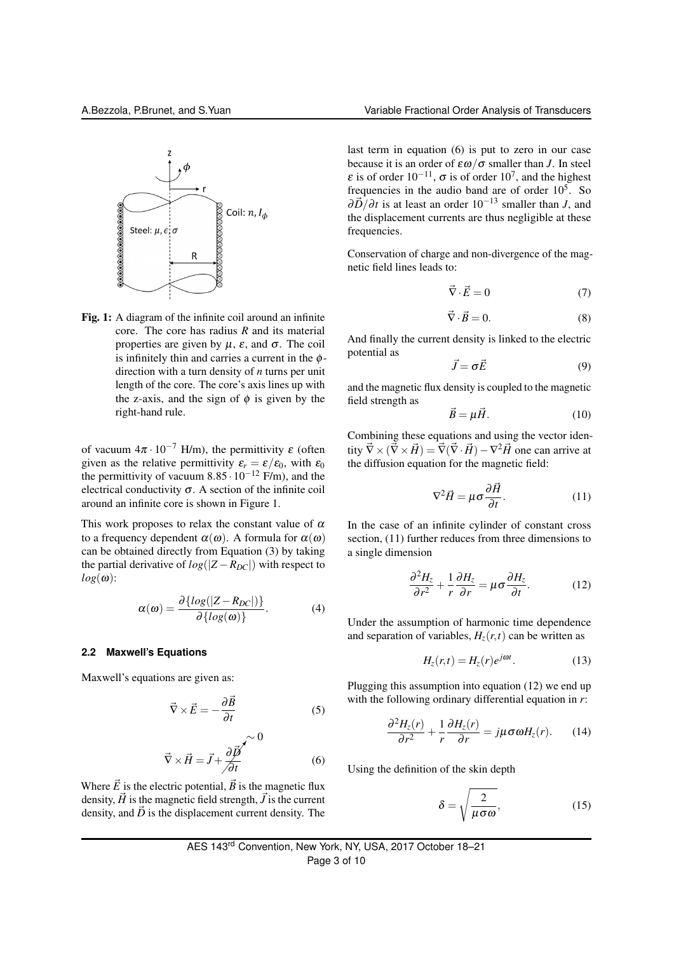

Fig. 1: A diagram of the infinite coil around an infinite core. The core has radius *R* and its material properties are given by  $\mu$ ,  $\varepsilon$ , and  $\sigma$ . The coil is infinitely thin and carries a current in the  $\phi$ direction with a turn density of *n* turns per unit length of the core. The core's axis lines up with the z-axis, and the sign of  $\phi$  is given by the right-hand rule.

of vacuum  $4\pi \cdot 10^{-7}$  H/m), the permittivity  $\varepsilon$  (often given as the relative permittivity  $\varepsilon_r = \varepsilon/\varepsilon_0$ , with  $\varepsilon_0$ the permittivity of vacuum 8.85 $\cdot 10^{-12}$  F/m), and the electrical conductivity  $\sigma$ . A section of the infinite coil around an infinite core is shown in Figure 1.

This work proposes to relax the constant value of  $\alpha$ to a frequency dependent  $\alpha(\omega)$ . A formula for  $\alpha(\omega)$ can be obtained directly from Equation (3) by taking the partial derivative of  $log(|Z - R_{DC}|)$  with respect to  $log(\omega)$ :

$$
\alpha(\omega) = \frac{\partial \{log(|Z - R_{DC}|)\}}{\partial \{log(\omega)\}}.
$$
 (4)

#### **2.2 Maxwell's Equations**

Maxwell's equations are given as:

$$
\vec{\nabla} \times \vec{E} = -\frac{\partial \vec{B}}{\partial t}
$$
 (5)

$$
\vec{\nabla} \times \vec{H} = \vec{J} + \frac{\partial \vec{B}}{\partial t} \tag{6}
$$

Where  $\vec{E}$  is the electric potential,  $\vec{B}$  is the magnetic flux density,  $\vec{H}$  is the magnetic field strength,  $\vec{J}$  is the current density, and  $\vec{D}$  is the displacement current density. The

last term in equation (6) is put to zero in our case because it is an order of  $\epsilon \omega / \sigma$  smaller than *J*. In steel  $\varepsilon$  is of order  $10^{-11}$ ,  $\sigma$  is of order  $10^7$ , and the highest frequencies in the audio band are of order  $10^5$ . So  $\partial \vec{D}/\partial t$  is at least an order 10<sup>-13</sup> smaller than *J*, and the displacement currents are thus negligible at these frequencies.

Conservation of charge and non-divergence of the magnetic field lines leads to:

$$
\vec{\nabla} \cdot \vec{E} = 0 \tag{7}
$$

$$
\vec{\nabla} \cdot \vec{B} = 0. \tag{8}
$$

And finally the current density is linked to the electric potential as

$$
\vec{J} = \sigma \vec{E} \tag{9}
$$

and the magnetic flux density is coupled to the magnetic field strength as

$$
\vec{B} = \mu \vec{H}.\tag{10}
$$

Combining these equations and using the vector identity  $\vec{\nabla} \times (\vec{\nabla} \times \vec{H}) = \vec{\nabla} (\vec{\nabla} \cdot \vec{H}) - \nabla^2 \vec{H}$  one can arrive at the diffusion equation for the magnetic field:

$$
\nabla^2 \vec{H} = \mu \sigma \frac{\partial \vec{H}}{\partial t}.
$$
 (11)

In the case of an infinite cylinder of constant cross section, (11) further reduces from three dimensions to a single dimension

$$
\frac{\partial^2 H_z}{\partial r^2} + \frac{1}{r} \frac{\partial H_z}{\partial r} = \mu \sigma \frac{\partial H_z}{\partial t}.
$$
 (12)

Under the assumption of harmonic time dependence and separation of variables,  $H_z(r,t)$  can be written as

$$
H_z(r,t) = H_z(r)e^{j\omega t}.
$$
 (13)

Plugging this assumption into equation (12) we end up with the following ordinary differential equation in *r*:

$$
\frac{\partial^2 H_z(r)}{\partial r^2} + \frac{1}{r} \frac{\partial H_z(r)}{\partial r} = j\mu \sigma \omega H_z(r). \qquad (14)
$$

Using the definition of the skin depth

$$
\delta = \sqrt{\frac{2}{\mu \sigma \omega}},\tag{15}
$$

AES 143rd Convention, New York, NY, USA, 2017 October 18–21 Page 3 of 10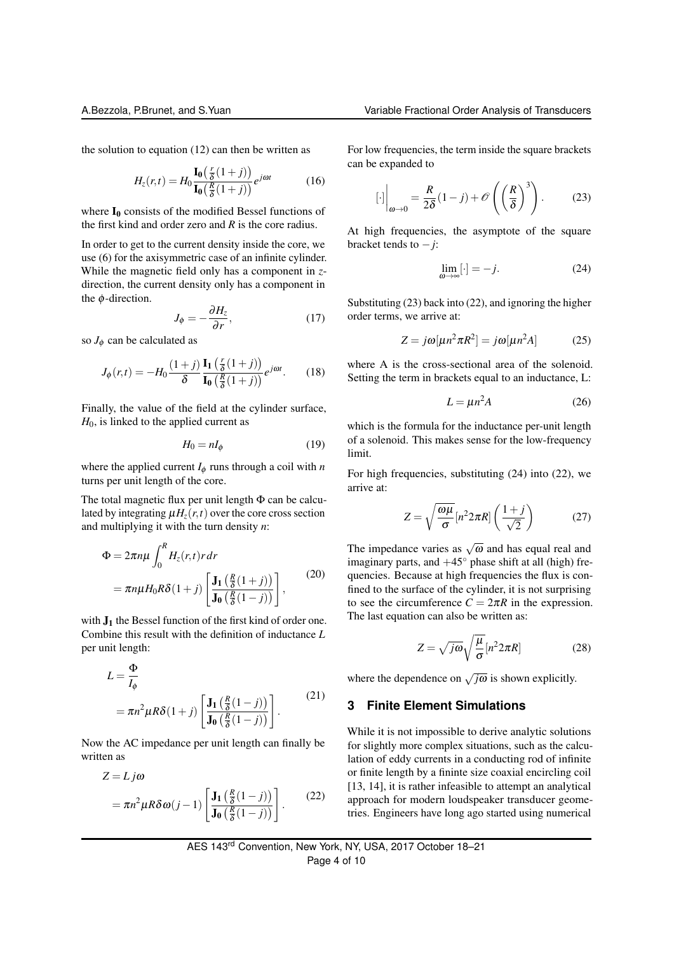the solution to equation (12) can then be written as

$$
H_z(r,t) = H_0 \frac{\mathbf{I}_0\left(\frac{r}{\delta}(1+j)\right)}{\mathbf{I}_0\left(\frac{R}{\delta}(1+j)\right)} e^{j\omega t}
$$
 (16)

where  $I_0$  consists of the modified Bessel functions of the first kind and order zero and *R* is the core radius.

In order to get to the current density inside the core, we use (6) for the axisymmetric case of an infinite cylinder. While the magnetic field only has a component in *z*direction, the current density only has a component in the  $\phi$ -direction. ∂*H<sup>z</sup>*

$$
J_{\phi} = -\frac{\partial H_z}{\partial r},\tag{17}
$$

so  $J_{\phi}$  can be calculated as

$$
J_{\phi}(r,t) = -H_0 \frac{(1+j)}{\delta} \frac{\mathbf{I}_1\left(\frac{r}{\delta}(1+j)\right)}{\mathbf{I}_0\left(\frac{R}{\delta}(1+j)\right)} e^{j\omega t}.
$$
 (18)

Finally, the value of the field at the cylinder surface, *H*<sub>0</sub>, is linked to the applied current as

$$
H_0 = nI_\phi \tag{19}
$$

where the applied current  $I_{\phi}$  runs through a coil with *n* turns per unit length of the core.

The total magnetic flux per unit length Φ can be calculated by integrating  $\mu H_z(r,t)$  over the core cross section and multiplying it with the turn density *n*:

$$
\Phi = 2\pi n\mu \int_0^R H_z(r,t) r dr
$$
  
=  $\pi n\mu H_0 R \delta(1+j) \left[ \frac{\mathbf{J}_1(\frac{R}{\delta}(1+j))}{\mathbf{J}_0(\frac{R}{\delta}(1-j))} \right],$  (20)

with  $J_1$  the Bessel function of the first kind of order one. Combine this result with the definition of inductance *L* per unit length:

$$
L = \frac{\Phi}{I_{\phi}}
$$
  
=  $\pi n^2 \mu R \delta (1+j) \left[ \frac{\mathbf{J}_1 \left( \frac{R}{\delta} (1-j) \right)}{\mathbf{J}_0 \left( \frac{R}{\delta} (1-j) \right)} \right].$  (21)

Now the AC impedance per unit length can finally be written as

$$
Z = L j\omega
$$
  
=  $\pi n^2 \mu R \delta \omega (j-1) \left[ \frac{\mathbf{J}_1 \left( \frac{R}{\delta} (1-j) \right)}{\mathbf{J}_0 \left( \frac{R}{\delta} (1-j) \right)} \right].$  (22)

For low frequencies, the term inside the square brackets can be expanded to

$$
[\cdot]\bigg|_{\omega \to 0} = \frac{R}{2\delta} (1 - j) + \mathcal{O}\left( \left(\frac{R}{\delta}\right)^3 \right). \tag{23}
$$

At high frequencies, the asymptote of the square bracket tends to −*j*:

$$
\lim_{\omega \to \infty} [\cdot] = -j. \tag{24}
$$

Substituting (23) back into (22), and ignoring the higher order terms, we arrive at:

$$
Z = j\omega[\mu n^2 \pi R^2] = j\omega[\mu n^2 A]
$$
 (25)

where A is the cross-sectional area of the solenoid. Setting the term in brackets equal to an inductance, L:

$$
L = \mu n^2 A \tag{26}
$$

which is the formula for the inductance per-unit length of a solenoid. This makes sense for the low-frequency limit.

For high frequencies, substituting (24) into (22), we arrive at:

$$
Z = \sqrt{\frac{\omega \mu}{\sigma}} [n^2 2\pi R] \left( \frac{1+j}{\sqrt{2}} \right) \tag{27}
$$

The impedance varies as  $\sqrt{\omega}$  and has equal real and imaginary parts, and  $+45^\circ$  phase shift at all (high) frequencies. Because at high frequencies the flux is confined to the surface of the cylinder, it is not surprising to see the circumference  $C = 2\pi R$  in the expression. The last equation can also be written as:

$$
Z = \sqrt{j\omega} \sqrt{\frac{\mu}{\sigma}} [n^2 2\pi R]
$$
 (28)

where the dependence on  $\sqrt{j\omega}$  is shown explicitly.

#### **3 Finite Element Simulations**

While it is not impossible to derive analytic solutions for slightly more complex situations, such as the calculation of eddy currents in a conducting rod of infinite or finite length by a fininte size coaxial encircling coil [13, 14], it is rather infeasible to attempt an analytical approach for modern loudspeaker transducer geometries. Engineers have long ago started using numerical

AES 143rd Convention, New York, NY, USA, 2017 October 18–21 Page 4 of 10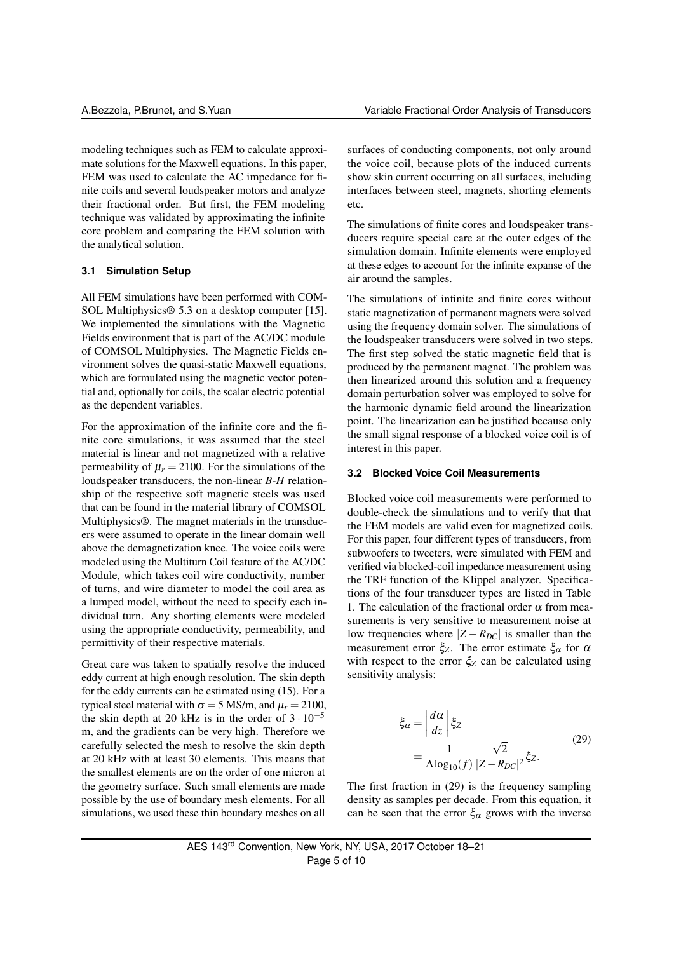modeling techniques such as FEM to calculate approximate solutions for the Maxwell equations. In this paper, FEM was used to calculate the AC impedance for finite coils and several loudspeaker motors and analyze their fractional order. But first, the FEM modeling technique was validated by approximating the infinite core problem and comparing the FEM solution with the analytical solution.

#### **3.1 Simulation Setup**

All FEM simulations have been performed with COM-SOL Multiphysics® 5.3 on a desktop computer [15]. We implemented the simulations with the Magnetic Fields environment that is part of the AC/DC module of COMSOL Multiphysics. The Magnetic Fields environment solves the quasi-static Maxwell equations, which are formulated using the magnetic vector potential and, optionally for coils, the scalar electric potential as the dependent variables.

For the approximation of the infinite core and the finite core simulations, it was assumed that the steel material is linear and not magnetized with a relative permeability of  $\mu_r = 2100$ . For the simulations of the loudspeaker transducers, the non-linear *B*-*H* relationship of the respective soft magnetic steels was used that can be found in the material library of COMSOL Multiphysics®. The magnet materials in the transducers were assumed to operate in the linear domain well above the demagnetization knee. The voice coils were modeled using the Multiturn Coil feature of the AC/DC Module, which takes coil wire conductivity, number of turns, and wire diameter to model the coil area as a lumped model, without the need to specify each individual turn. Any shorting elements were modeled using the appropriate conductivity, permeability, and permittivity of their respective materials.

Great care was taken to spatially resolve the induced eddy current at high enough resolution. The skin depth for the eddy currents can be estimated using (15). For a typical steel material with  $\sigma = 5$  MS/m, and  $\mu_r = 2100$ , the skin depth at 20 kHz is in the order of  $3 \cdot 10^{-5}$ m, and the gradients can be very high. Therefore we carefully selected the mesh to resolve the skin depth at 20 kHz with at least 30 elements. This means that the smallest elements are on the order of one micron at the geometry surface. Such small elements are made possible by the use of boundary mesh elements. For all simulations, we used these thin boundary meshes on all surfaces of conducting components, not only around the voice coil, because plots of the induced currents show skin current occurring on all surfaces, including interfaces between steel, magnets, shorting elements etc.

The simulations of finite cores and loudspeaker transducers require special care at the outer edges of the simulation domain. Infinite elements were employed at these edges to account for the infinite expanse of the air around the samples.

The simulations of infinite and finite cores without static magnetization of permanent magnets were solved using the frequency domain solver. The simulations of the loudspeaker transducers were solved in two steps. The first step solved the static magnetic field that is produced by the permanent magnet. The problem was then linearized around this solution and a frequency domain perturbation solver was employed to solve for the harmonic dynamic field around the linearization point. The linearization can be justified because only the small signal response of a blocked voice coil is of interest in this paper.

#### **3.2 Blocked Voice Coil Measurements**

Blocked voice coil measurements were performed to double-check the simulations and to verify that that the FEM models are valid even for magnetized coils. For this paper, four different types of transducers, from subwoofers to tweeters, were simulated with FEM and verified via blocked-coil impedance measurement using the TRF function of the Klippel analyzer. Specifications of the four transducer types are listed in Table 1. The calculation of the fractional order  $\alpha$  from measurements is very sensitive to measurement noise at low frequencies where  $|Z - R_{DC}|$  is smaller than the measurement error  $\xi$ <sub>Z</sub>. The error estimate  $\xi$ <sub>α</sub> for  $\alpha$ with respect to the error  $\xi_Z$  can be calculated using sensitivity analysis:

$$
\xi_{\alpha} = \left| \frac{d\alpha}{dz} \right| \xi_{Z}
$$
\n
$$
= \frac{1}{\Delta \log_{10}(f)} \frac{\sqrt{2}}{|Z - R_{DC}|^2} \xi_{Z}.
$$
\n(29)

The first fraction in (29) is the frequency sampling density as samples per decade. From this equation, it can be seen that the error  $\xi_{\alpha}$  grows with the inverse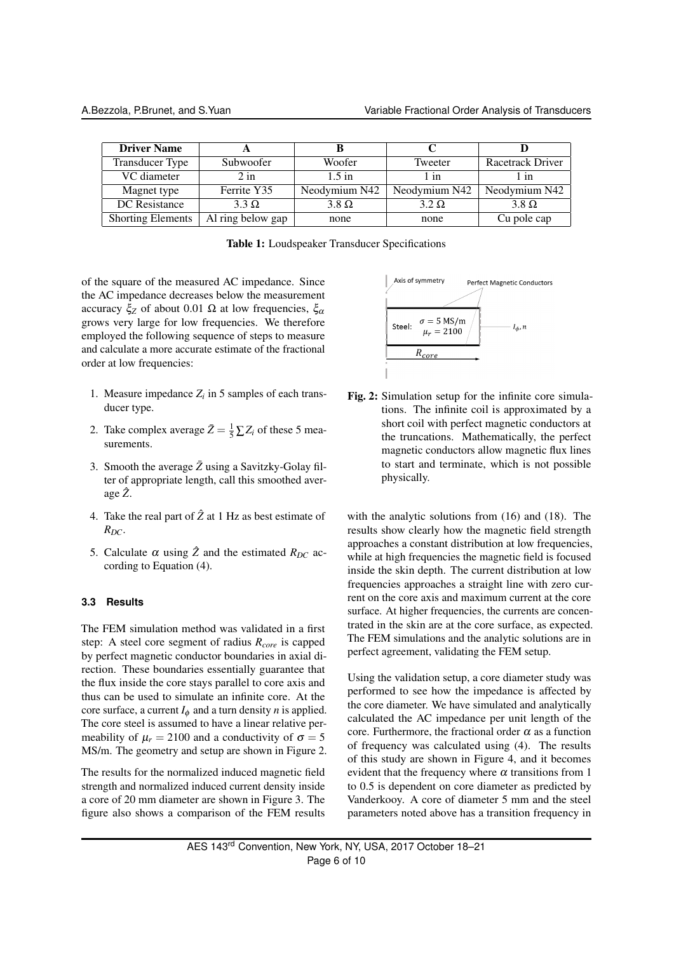| <b>Driver Name</b>       |                   |               |               |                  |
|--------------------------|-------------------|---------------|---------------|------------------|
| Transducer Type          | Subwoofer         | Woofer        | Tweeter       | Racetrack Driver |
| VC diameter              | $2$ in            | $1.5$ in      | 1 in          | l 1n             |
| Magnet type              | Ferrite Y35       | Neodymium N42 | Neodymium N42 | Neodymium N42    |
| DC Resistance            | $3.3 \Omega$      | $3.8 \Omega$  | $3.2 \Omega$  | $3.8 \Omega$     |
| <b>Shorting Elements</b> | Al ring below gap | none          | none          | Cu pole cap      |

|  | Table 1: Loudspeaker Transducer Specifications |  |  |
|--|------------------------------------------------|--|--|
|--|------------------------------------------------|--|--|

of the square of the measured AC impedance. Since the AC impedance decreases below the measurement accuracy  $\xi$ <sub>Z</sub> of about 0.01 Ω at low frequencies,  $\xi$ <sub>α</sub> grows very large for low frequencies. We therefore employed the following sequence of steps to measure and calculate a more accurate estimate of the fractional order at low frequencies:

- 1. Measure impedance  $Z_i$  in 5 samples of each transducer type.
- 2. Take complex average  $\bar{Z} = \frac{1}{5} \sum Z_i$  of these 5 measurements.
- 3. Smooth the average  $\bar{Z}$  using a Savitzky-Golay filter of appropriate length, call this smoothed average *Z*ˆ.
- 4. Take the real part of  $\hat{Z}$  at 1 Hz as best estimate of  $R_{DC}$ .
- 5. Calculate  $\alpha$  using  $\hat{Z}$  and the estimated  $R_{DC}$  according to Equation (4).

#### **3.3 Results**

The FEM simulation method was validated in a first step: A steel core segment of radius *Rcore* is capped by perfect magnetic conductor boundaries in axial direction. These boundaries essentially guarantee that the flux inside the core stays parallel to core axis and thus can be used to simulate an infinite core. At the core surface, a current  $I_{\phi}$  and a turn density *n* is applied. The core steel is assumed to have a linear relative permeability of  $\mu_r = 2100$  and a conductivity of  $\sigma = 5$ MS/m. The geometry and setup are shown in Figure 2.

The results for the normalized induced magnetic field strength and normalized induced current density inside a core of 20 mm diameter are shown in Figure 3. The figure also shows a comparison of the FEM results



Fig. 2: Simulation setup for the infinite core simulations. The infinite coil is approximated by a short coil with perfect magnetic conductors at the truncations. Mathematically, the perfect magnetic conductors allow magnetic flux lines to start and terminate, which is not possible physically.

with the analytic solutions from (16) and (18). The results show clearly how the magnetic field strength approaches a constant distribution at low frequencies, while at high frequencies the magnetic field is focused inside the skin depth. The current distribution at low frequencies approaches a straight line with zero current on the core axis and maximum current at the core surface. At higher frequencies, the currents are concentrated in the skin are at the core surface, as expected. The FEM simulations and the analytic solutions are in perfect agreement, validating the FEM setup.

Using the validation setup, a core diameter study was performed to see how the impedance is affected by the core diameter. We have simulated and analytically calculated the AC impedance per unit length of the core. Furthermore, the fractional order  $\alpha$  as a function of frequency was calculated using (4). The results of this study are shown in Figure 4, and it becomes evident that the frequency where  $\alpha$  transitions from 1 to 0.5 is dependent on core diameter as predicted by Vanderkooy. A core of diameter 5 mm and the steel parameters noted above has a transition frequency in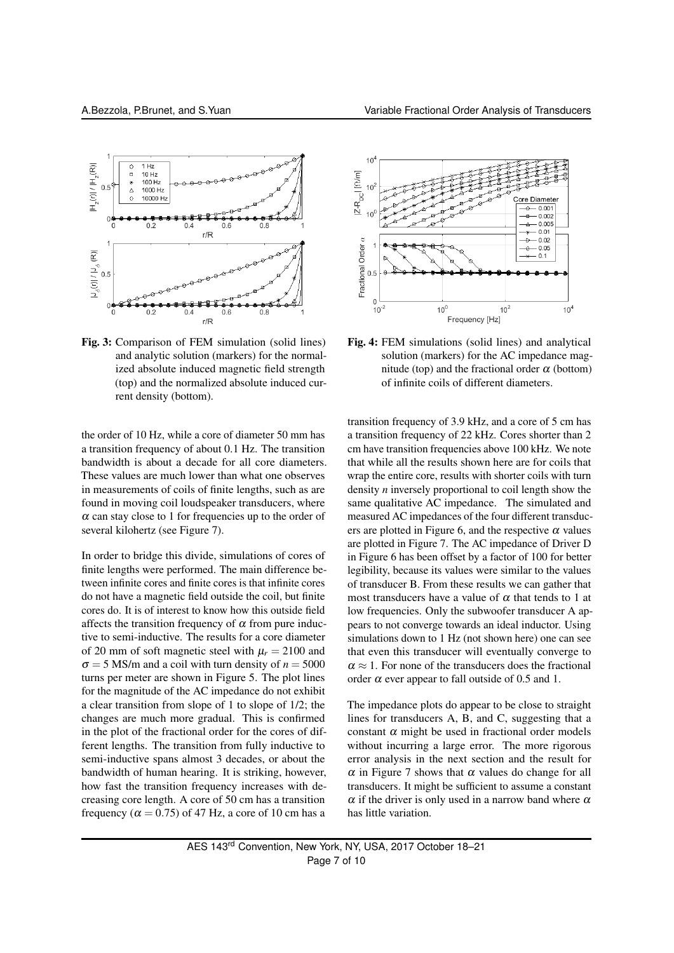

Fig. 3: Comparison of FEM simulation (solid lines) and analytic solution (markers) for the normalized absolute induced magnetic field strength (top) and the normalized absolute induced current density (bottom).

the order of 10 Hz, while a core of diameter 50 mm has a transition frequency of about 0.1 Hz. The transition bandwidth is about a decade for all core diameters. These values are much lower than what one observes in measurements of coils of finite lengths, such as are found in moving coil loudspeaker transducers, where  $\alpha$  can stay close to 1 for frequencies up to the order of several kilohertz (see Figure 7).

In order to bridge this divide, simulations of cores of finite lengths were performed. The main difference between infinite cores and finite cores is that infinite cores do not have a magnetic field outside the coil, but finite cores do. It is of interest to know how this outside field affects the transition frequency of  $\alpha$  from pure inductive to semi-inductive. The results for a core diameter of 20 mm of soft magnetic steel with  $\mu_r = 2100$  and  $\sigma = 5$  MS/m and a coil with turn density of  $n = 5000$ turns per meter are shown in Figure 5. The plot lines for the magnitude of the AC impedance do not exhibit a clear transition from slope of 1 to slope of 1/2; the changes are much more gradual. This is confirmed in the plot of the fractional order for the cores of different lengths. The transition from fully inductive to semi-inductive spans almost 3 decades, or about the bandwidth of human hearing. It is striking, however, how fast the transition frequency increases with decreasing core length. A core of 50 cm has a transition frequency ( $\alpha$  = 0.75) of 47 Hz, a core of 10 cm has a



Fig. 4: FEM simulations (solid lines) and analytical solution (markers) for the AC impedance magnitude (top) and the fractional order  $\alpha$  (bottom) of infinite coils of different diameters.

transition frequency of 3.9 kHz, and a core of 5 cm has a transition frequency of 22 kHz. Cores shorter than 2 cm have transition frequencies above 100 kHz. We note that while all the results shown here are for coils that wrap the entire core, results with shorter coils with turn density *n* inversely proportional to coil length show the same qualitative AC impedance. The simulated and measured AC impedances of the four different transducers are plotted in Figure 6, and the respective  $\alpha$  values are plotted in Figure 7. The AC impedance of Driver D in Figure 6 has been offset by a factor of 100 for better legibility, because its values were similar to the values of transducer B. From these results we can gather that most transducers have a value of  $\alpha$  that tends to 1 at low frequencies. Only the subwoofer transducer A appears to not converge towards an ideal inductor. Using simulations down to 1 Hz (not shown here) one can see that even this transducer will eventually converge to  $\alpha \approx 1$ . For none of the transducers does the fractional order  $\alpha$  ever appear to fall outside of 0.5 and 1.

The impedance plots do appear to be close to straight lines for transducers A, B, and C, suggesting that a constant  $\alpha$  might be used in fractional order models without incurring a large error. The more rigorous error analysis in the next section and the result for  $\alpha$  in Figure 7 shows that  $\alpha$  values do change for all transducers. It might be sufficient to assume a constant  $\alpha$  if the driver is only used in a narrow band where  $\alpha$ has little variation.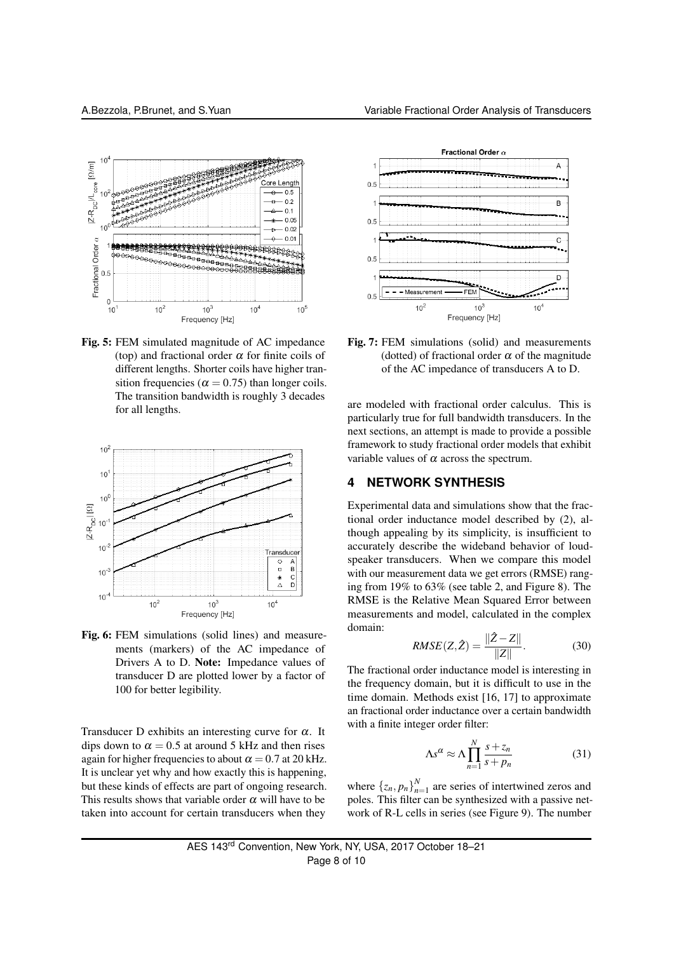

Fig. 5: FEM simulated magnitude of AC impedance (top) and fractional order  $\alpha$  for finite coils of different lengths. Shorter coils have higher transition frequencies ( $\alpha = 0.75$ ) than longer coils. The transition bandwidth is roughly 3 decades for all lengths.



Fig. 6: FEM simulations (solid lines) and measurements (markers) of the AC impedance of Drivers A to D. Note: Impedance values of transducer D are plotted lower by a factor of 100 for better legibility.

Transducer D exhibits an interesting curve for  $\alpha$ . It dips down to  $\alpha = 0.5$  at around 5 kHz and then rises again for higher frequencies to about  $\alpha = 0.7$  at 20 kHz. It is unclear yet why and how exactly this is happening, but these kinds of effects are part of ongoing research. This results shows that variable order  $\alpha$  will have to be taken into account for certain transducers when they



Fig. 7: FEM simulations (solid) and measurements (dotted) of fractional order  $\alpha$  of the magnitude of the AC impedance of transducers A to D.

 $10^3$ 

Frequency [Hz]

 $10<sup>4</sup>$ 

are modeled with fractional order calculus. This is particularly true for full bandwidth transducers. In the next sections, an attempt is made to provide a possible framework to study fractional order models that exhibit variable values of  $\alpha$  across the spectrum.

#### **4 NETWORK SYNTHESIS**

 $10<sup>2</sup>$ 

Experimental data and simulations show that the fractional order inductance model described by (2), although appealing by its simplicity, is insufficient to accurately describe the wideband behavior of loudspeaker transducers. When we compare this model with our measurement data we get errors (RMSE) ranging from 19% to 63% (see table 2, and Figure 8). The RMSE is the Relative Mean Squared Error between measurements and model, calculated in the complex domain:

$$
RMSE(Z, \hat{Z}) = \frac{\|\hat{Z} - Z\|}{\|Z\|}.
$$
 (30)

The fractional order inductance model is interesting in the frequency domain, but it is difficult to use in the time domain. Methods exist [16, 17] to approximate an fractional order inductance over a certain bandwidth with a finite integer order filter:

$$
\Lambda s^{\alpha} \approx \Lambda \prod_{n=1}^{N} \frac{s + z_n}{s + p_n}
$$
 (31)

where  $\{z_n, p_n\}_{n=1}^N$  are series of intertwined zeros and poles. This filter can be synthesized with a passive network of R-L cells in series (see Figure 9). The number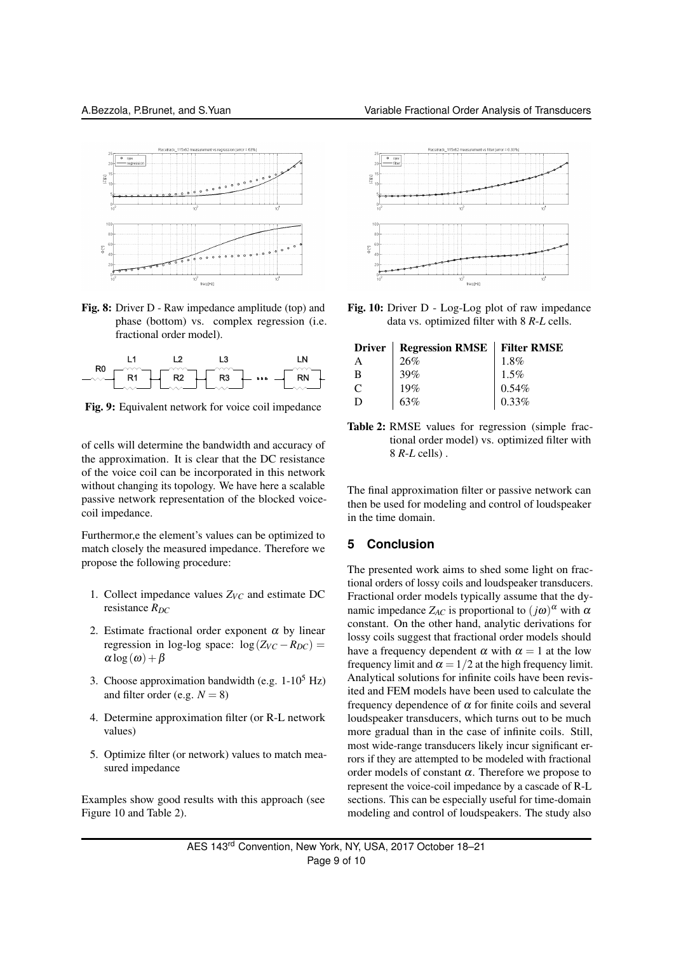

Fig. 8: Driver D - Raw impedance amplitude (top) and phase (bottom) vs. complex regression (i.e. fractional order model).



Fig. 9: Equivalent network for voice coil impedance

of cells will determine the bandwidth and accuracy of the approximation. It is clear that the DC resistance of the voice coil can be incorporated in this network without changing its topology. We have here a scalable passive network representation of the blocked voicecoil impedance.

Furthermor,e the element's values can be optimized to match closely the measured impedance. Therefore we propose the following procedure:

- 1. Collect impedance values  $Z_{VC}$  and estimate DC resistance *RDC*
- 2. Estimate fractional order exponent  $\alpha$  by linear regression in log-log space:  $\log(Z_{VC} - R_{DC}) =$  $\alpha$  log( $\omega$ ) +  $\beta$
- 3. Choose approximation bandwidth (e.g.  $1-10^5$  Hz) and filter order (e.g.  $N = 8$ )
- 4. Determine approximation filter (or R-L network values)
- 5. Optimize filter (or network) values to match measured impedance

Examples show good results with this approach (see Figure 10 and Table 2).



Fig. 10: Driver D - Log-Log plot of raw impedance data vs. optimized filter with 8 *R*-*L* cells.

|               | Driver   Regression RMSE   Filter RMSE |                      |
|---------------|----------------------------------------|----------------------|
| A             | 26%                                    | $1.8\%$              |
| B             | 39%                                    | $1.5\%$              |
| $\mathcal{C}$ | 19%                                    | $0.54\%$<br>$0.33\%$ |
| D             | 63%                                    |                      |

Table 2: RMSE values for regression (simple fractional order model) vs. optimized filter with 8 *R*-*L* cells) .

The final approximation filter or passive network can then be used for modeling and control of loudspeaker in the time domain.

#### **5 Conclusion**

The presented work aims to shed some light on fractional orders of lossy coils and loudspeaker transducers. Fractional order models typically assume that the dynamic impedance  $Z_{AC}$  is proportional to  $(j\omega)^{\alpha}$  with  $\alpha$ constant. On the other hand, analytic derivations for lossy coils suggest that fractional order models should have a frequency dependent  $\alpha$  with  $\alpha = 1$  at the low frequency limit and  $\alpha = 1/2$  at the high frequency limit. Analytical solutions for infinite coils have been revisited and FEM models have been used to calculate the frequency dependence of  $\alpha$  for finite coils and several loudspeaker transducers, which turns out to be much more gradual than in the case of infinite coils. Still, most wide-range transducers likely incur significant errors if they are attempted to be modeled with fractional order models of constant  $\alpha$ . Therefore we propose to represent the voice-coil impedance by a cascade of R-L sections. This can be especially useful for time-domain modeling and control of loudspeakers. The study also